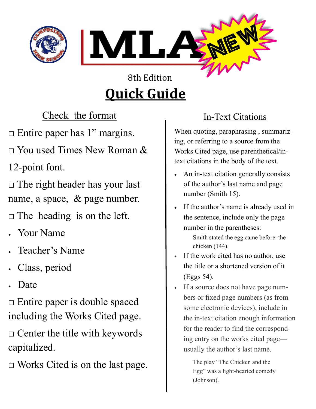

# **Quick Guide**

Check the format

 $\Box$  Entire paper has 1" margins.

 $\Box$  You used Times New Roman &

12-point font.

 $\Box$  The right header has your last name, a space, & page number.

 $\Box$  The heading is on the left.

- Your Name
- Teacher's Name
- Class, period
- Date

□ Entire paper is double spaced including the Works Cited page.

 $\Box$  Center the title with keywords capitalized.

 $\Box$  Works Cited is on the last page.

# In-Text Citations

When quoting, paraphrasing , summarizing, or referring to a source from the Works Cited page, use parenthetical/intext citations in the body of the text.

- An in-text citation generally consists of the author's last name and page number (Smith 15).
- If the author's name is already used in the sentence, include only the page number in the parentheses:

Smith stated the egg came before the chicken (144).

- If the work cited has no author, use the title or a shortened version of it (Eggs 54).
- If a source does not have page numbers or fixed page numbers (as from some electronic devices), include in the in-text citation enough information for the reader to find the corresponding entry on the works cited page usually the author's last name.

The play "The Chicken and the Egg" was a light-hearted comedy (Johnson).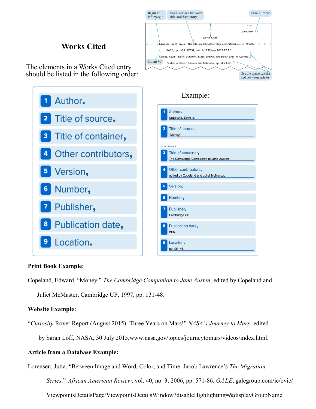

## **Works Cited**

The elements in a Works Cited entry should be listed in the following order:



#### **Print Book Example:**

Copeland, Edward. "Money." *The Cambridge Companion to Jane Austen*, edited by Copeland and Juliet McMaster, Cambridge UP, 1997, pp. 131-48.

#### **Website Example:**

"*Curiosity* Rover Report (August 2015): Three Years on Mars!" *NASA's Journey to Mars:* edited

by Sarah Loff, NASA, 30 July 2015,www.nasa.gov/topics/journeytomars/videos/index.html.

#### **Article from a Database Example:**

Lorensen, Jutta. "Between Image and Word, Color, and Time: Jacob Lawrence's *The Migration* 

*Series*." *African American Review*, vol. 40, no. 3, 2006, pp. 571-86. *GALE*, galegroup.com/ic/ovic/

ViewpointsDetailsPage/ViewpointsDetailsWindow?disableHighlighting=&displayGroupName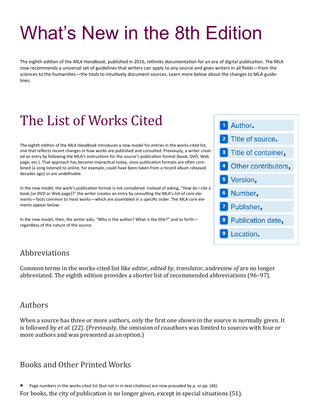# What's New in the 8th Edition

The eighth edition of the *MLA Handbook*, published in 2016, rethinks documentation for an era of digital publication. The MLA now recommends a universal set of guidelines that writers can apply to any source and gives writers in all fields—from the sciences to the humanities—the tools to intuitively document sources. Learn more below about the changes to MLA guidelines.

# The List of Works Cited

The eighth edition of the *MLA Handbook* introduces a new model for entries in the works-cited list, one that reflects recent changes in how works are published and consulted. Previously, a writer created an entry by following the MLA's instructions for the source's publication format (book, DVD, Web page, etc.). That approach has become impractical today, since publication formats are often combined (a song listened to online, for example, could have been taken from a record album released decades ago) or are undefinable.

In the new model, the work's publication format is not considered. Instead of asking, "How do I cite a book [or DVD or Web page]?" the writer creates an entry by consulting the MLA's list of core elements—facts common to most works—which are assembled in a specific order. The MLA core elements appear below:

In the new model, then, the writer asks, "Who is the author? What is the title?" and so forth regardless of the nature of the source.

# 1 Author. 2 Title of source. <sup>3</sup> Title of container, 4 Other contributors, 5 Version, <sup>6</sup> Number, <sup>7</sup> Publisher, <sup>8</sup> Publication date, <sup>9</sup> Location.

### Abbreviations

Common terms in the works-cited list like *editor*, *edited by*, *translator*, and*review of* are no longer abbreviated. The eighth edition provides a shorter list of recommended abbreviations (96–97).

### Authors

When a source has three or more authors, only the first one shown in the source is normally given. It is followed by *et al.* (22). (Previously, the omission of coauthors was limited to sources with four or more authors and was presented as an option.)

# Books and Other Printed Works

Page numbers in the works-cited list (but not in in-text citations) are now preceded by *p.* or *pp.* (46).

For books, the city of publication is no longer given, except in special situations (51).